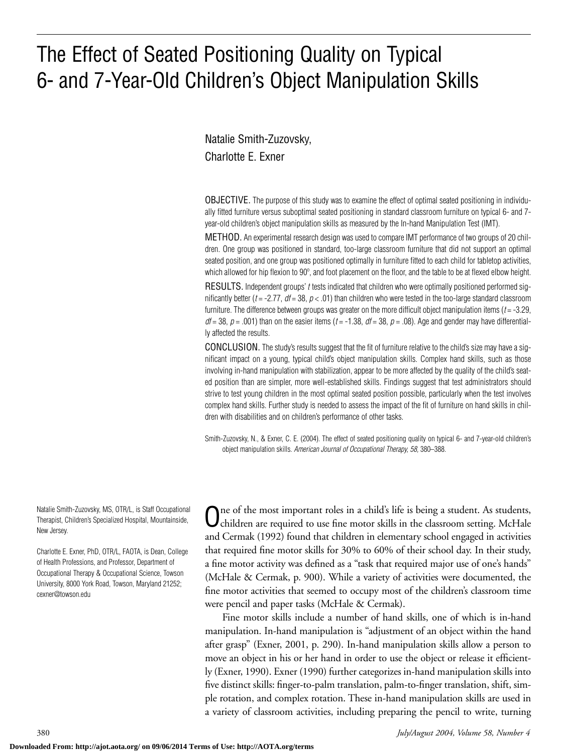# The Effect of Seated Positioning Quality on Typical 6- and 7-Year-Old Children's Object Manipulation Skills

Natalie Smith-Zuzovsky, Charlotte E. Exner

OBJECTIVE. The purpose of this study was to examine the effect of optimal seated positioning in individually fitted furniture versus suboptimal seated positioning in standard classroom furniture on typical 6- and 7 year-old children's object manipulation skills as measured by the In-hand Manipulation Test (IMT).

METHOD. An experimental research design was used to compare IMT performance of two groups of 20 children. One group was positioned in standard, too-large classroom furniture that did not support an optimal seated position, and one group was positioned optimally in furniture fitted to each child for tabletop activities, which allowed for hip flexion to 90°, and foot placement on the floor, and the table to be at flexed elbow height.

RESULTS. Independent groups' *t* tests indicated that children who were optimally positioned performed significantly better ( $t = -2.77$ ,  $dt = 38$ ,  $p < .01$ ) than children who were tested in the too-large standard classroom furniture. The difference between groups was greater on the more difficult object manipulation items (*t* = -3.29,  $df = 38$ ,  $p = .001$ ) than on the easier items ( $t = -1.38$ ,  $df = 38$ ,  $p = .08$ ). Age and gender may have differentially affected the results.

CONCLUSION. The study's results suggest that the fit of furniture relative to the child's size may have a significant impact on a young, typical child's object manipulation skills. Complex hand skills, such as those involving in-hand manipulation with stabilization, appear to be more affected by the quality of the child's seated position than are simpler, more well-established skills. Findings suggest that test administrators should strive to test young children in the most optimal seated position possible, particularly when the test involves complex hand skills. Further study is needed to assess the impact of the fit of furniture on hand skills in children with disabilities and on children's performance of other tasks.

Smith-Zuzovsky, N., & Exner, C. E. (2004). The effect of seated positioning quality on typical 6- and 7-year-old children's object manipulation skills. *American Journal of Occupational Therapy, 58,* 380–388.

Natalie Smith-Zuzovsky, MS, OTR/L, is Staff Occupational Therapist, Children's Specialized Hospital, Mountainside, New Jersey.

Charlotte E. Exner, PhD, OTR/L, FAOTA, is Dean, College of Health Professions, and Professor, Department of Occupational Therapy & Occupational Science, Towson University, 8000 York Road, Towson, Maryland 21252; cexner@towson.edu

Ine of the most important roles in a child's life is being a student. As students, children are required to use fine motor skills in the classroom setting. McHale and Cermak (1992) found that children in elementary school engaged in activities that required fine motor skills for 30% to 60% of their school day. In their study, a fine motor activity was defined as a "task that required major use of one's hands" (McHale & Cermak, p. 900). While a variety of activities were documented, the fine motor activities that seemed to occupy most of the children's classroom time were pencil and paper tasks (McHale & Cermak).

Fine motor skills include a number of hand skills, one of which is in-hand manipulation. In-hand manipulation is "adjustment of an object within the hand after grasp" (Exner, 2001, p. 290). In-hand manipulation skills allow a person to move an object in his or her hand in order to use the object or release it efficiently (Exner, 1990). Exner (1990) further categorizes in-hand manipulation skills into five distinct skills: finger-to-palm translation, palm-to-finger translation, shift, simple rotation, and complex rotation. These in-hand manipulation skills are used in a variety of classroom activities, including preparing the pencil to write, turning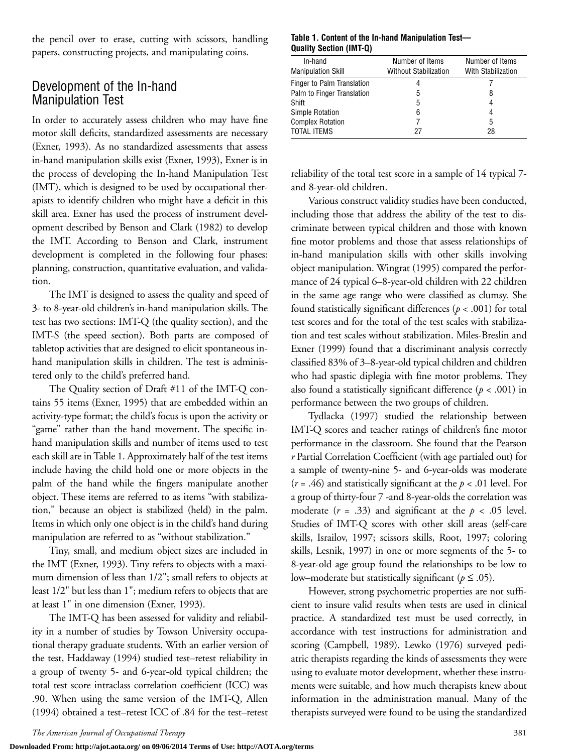the pencil over to erase, cutting with scissors, handling papers, constructing projects, and manipulating coins.

## Development of the In-hand Manipulation Test

In order to accurately assess children who may have fine motor skill deficits, standardized assessments are necessary (Exner, 1993). As no standardized assessments that assess in-hand manipulation skills exist (Exner, 1993), Exner is in the process of developing the In-hand Manipulation Test (IMT), which is designed to be used by occupational therapists to identify children who might have a deficit in this skill area. Exner has used the process of instrument development described by Benson and Clark (1982) to develop the IMT. According to Benson and Clark, instrument development is completed in the following four phases: planning, construction, quantitative evaluation, and validation.

The IMT is designed to assess the quality and speed of 3- to 8-year-old children's in-hand manipulation skills. The test has two sections: IMT-Q (the quality section), and the IMT-S (the speed section). Both parts are composed of tabletop activities that are designed to elicit spontaneous inhand manipulation skills in children. The test is administered only to the child's preferred hand.

The Quality section of Draft #11 of the IMT-Q contains 55 items (Exner, 1995) that are embedded within an activity-type format; the child's focus is upon the activity or "game" rather than the hand movement. The specific inhand manipulation skills and number of items used to test each skill are in Table 1. Approximately half of the test items include having the child hold one or more objects in the palm of the hand while the fingers manipulate another object. These items are referred to as items "with stabilization," because an object is stabilized (held) in the palm. Items in which only one object is in the child's hand during manipulation are referred to as "without stabilization."

Tiny, small, and medium object sizes are included in the IMT (Exner, 1993). Tiny refers to objects with a maximum dimension of less than 1/2"; small refers to objects at least 1/2" but less than 1"; medium refers to objects that are at least 1" in one dimension (Exner, 1993).

The IMT-Q has been assessed for validity and reliability in a number of studies by Towson University occupational therapy graduate students. With an earlier version of the test, Haddaway (1994) studied test–retest reliability in a group of twenty 5- and 6-year-old typical children; the total test score intraclass correlation coefficient (ICC) was .90. When using the same version of the IMT-Q, Allen (1994) obtained a test–retest ICC of .84 for the test–retest

#### **Table 1. Content of the In-hand Manipulation Test— Quality Section (IMT-Q)**

| In-hand                    | Number of Items              | Number of Items    |
|----------------------------|------------------------------|--------------------|
| <b>Manipulation Skill</b>  | <b>Without Stabilization</b> | With Stabilization |
| Finger to Palm Translation | 4                            |                    |
| Palm to Finger Translation | 5                            | 8                  |
| Shift                      | 5                            | 4                  |
| <b>Simple Rotation</b>     | 6                            | 4                  |
| <b>Complex Rotation</b>    |                              | 5                  |
| <b>TOTAL ITEMS</b>         | 27                           | 28                 |

reliability of the total test score in a sample of 14 typical 7 and 8-year-old children.

Various construct validity studies have been conducted, including those that address the ability of the test to discriminate between typical children and those with known fine motor problems and those that assess relationships of in-hand manipulation skills with other skills involving object manipulation. Wingrat (1995) compared the performance of 24 typical 6–8-year-old children with 22 children in the same age range who were classified as clumsy. She found statistically significant differences (*p* < .001) for total test scores and for the total of the test scales with stabilization and test scales without stabilization. Miles-Breslin and Exner (1999) found that a discriminant analysis correctly classified 83% of 3–8-year-old typical children and children who had spastic diplegia with fine motor problems. They also found a statistically significant difference  $(p < .001)$  in performance between the two groups of children.

Tydlacka (1997) studied the relationship between IMT-Q scores and teacher ratings of children's fine motor performance in the classroom. She found that the Pearson *r* Partial Correlation Coefficient (with age partialed out) for a sample of twenty-nine 5- and 6-year-olds was moderate (*r* = .46) and statistically significant at the *p* < .01 level. For a group of thirty-four 7 -and 8-year-olds the correlation was moderate  $(r = .33)$  and significant at the  $p < .05$  level. Studies of IMT-Q scores with other skill areas (self-care skills, Israilov, 1997; scissors skills, Root, 1997; coloring skills, Lesnik, 1997) in one or more segments of the 5- to 8-year-old age group found the relationships to be low to low–moderate but statistically significant ( $p \leq .05$ ).

However, strong psychometric properties are not sufficient to insure valid results when tests are used in clinical practice. A standardized test must be used correctly, in accordance with test instructions for administration and scoring (Campbell, 1989). Lewko (1976) surveyed pediatric therapists regarding the kinds of assessments they were using to evaluate motor development, whether these instruments were suitable, and how much therapists knew about information in the administration manual. Many of the therapists surveyed were found to be using the standardized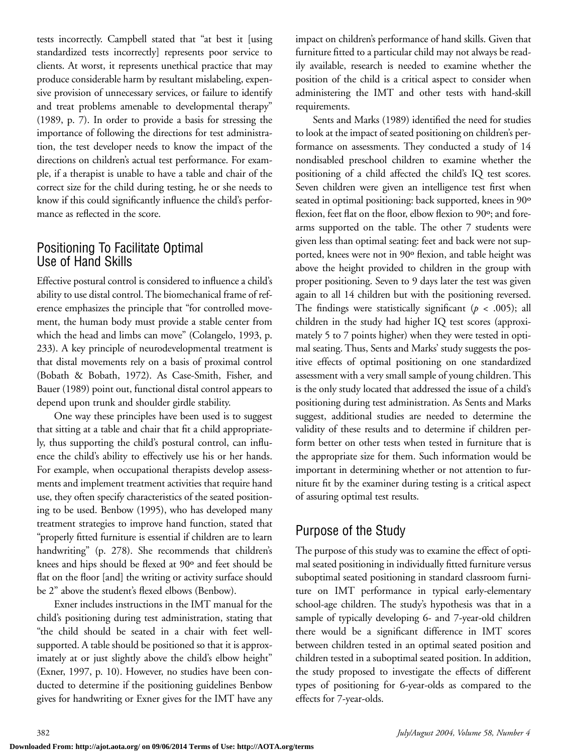tests incorrectly. Campbell stated that "at best it [using standardized tests incorrectly] represents poor service to clients. At worst, it represents unethical practice that may produce considerable harm by resultant mislabeling, expensive provision of unnecessary services, or failure to identify and treat problems amenable to developmental therapy" (1989, p. 7). In order to provide a basis for stressing the importance of following the directions for test administration, the test developer needs to know the impact of the directions on children's actual test performance. For example, if a therapist is unable to have a table and chair of the correct size for the child during testing, he or she needs to know if this could significantly influence the child's performance as reflected in the score.

## Positioning To Facilitate Optimal Use of Hand Skills

Effective postural control is considered to influence a child's ability to use distal control. The biomechanical frame of reference emphasizes the principle that "for controlled movement, the human body must provide a stable center from which the head and limbs can move" (Colangelo, 1993, p. 233). A key principle of neurodevelopmental treatment is that distal movements rely on a basis of proximal control (Bobath & Bobath, 1972). As Case-Smith, Fisher, and Bauer (1989) point out, functional distal control appears to depend upon trunk and shoulder girdle stability.

One way these principles have been used is to suggest that sitting at a table and chair that fit a child appropriately, thus supporting the child's postural control, can influence the child's ability to effectively use his or her hands. For example, when occupational therapists develop assessments and implement treatment activities that require hand use, they often specify characteristics of the seated positioning to be used. Benbow (1995), who has developed many treatment strategies to improve hand function, stated that "properly fitted furniture is essential if children are to learn handwriting" (p. 278). She recommends that children's knees and hips should be flexed at 90º and feet should be flat on the floor [and] the writing or activity surface should be 2" above the student's flexed elbows (Benbow).

Exner includes instructions in the IMT manual for the child's positioning during test administration, stating that "the child should be seated in a chair with feet wellsupported. A table should be positioned so that it is approximately at or just slightly above the child's elbow height" (Exner, 1997, p. 10). However, no studies have been conducted to determine if the positioning guidelines Benbow gives for handwriting or Exner gives for the IMT have any impact on children's performance of hand skills. Given that furniture fitted to a particular child may not always be readily available, research is needed to examine whether the position of the child is a critical aspect to consider when administering the IMT and other tests with hand-skill requirements.

Sents and Marks (1989) identified the need for studies to look at the impact of seated positioning on children's performance on assessments. They conducted a study of 14 nondisabled preschool children to examine whether the positioning of a child affected the child's IQ test scores. Seven children were given an intelligence test first when seated in optimal positioning: back supported, knees in 90º flexion, feet flat on the floor, elbow flexion to 90°; and forearms supported on the table. The other 7 students were given less than optimal seating: feet and back were not supported, knees were not in 90º flexion, and table height was above the height provided to children in the group with proper positioning. Seven to 9 days later the test was given again to all 14 children but with the positioning reversed. The findings were statistically significant ( $p < .005$ ); all children in the study had higher IQ test scores (approximately 5 to 7 points higher) when they were tested in optimal seating. Thus, Sents and Marks' study suggests the positive effects of optimal positioning on one standardized assessment with a very small sample of young children. This is the only study located that addressed the issue of a child's positioning during test administration. As Sents and Marks suggest, additional studies are needed to determine the validity of these results and to determine if children perform better on other tests when tested in furniture that is the appropriate size for them. Such information would be important in determining whether or not attention to furniture fit by the examiner during testing is a critical aspect of assuring optimal test results.

# Purpose of the Study

The purpose of this study was to examine the effect of optimal seated positioning in individually fitted furniture versus suboptimal seated positioning in standard classroom furniture on IMT performance in typical early-elementary school-age children. The study's hypothesis was that in a sample of typically developing 6- and 7-year-old children there would be a significant difference in IMT scores between children tested in an optimal seated position and children tested in a suboptimal seated position. In addition, the study proposed to investigate the effects of different types of positioning for 6-year-olds as compared to the effects for 7-year-olds.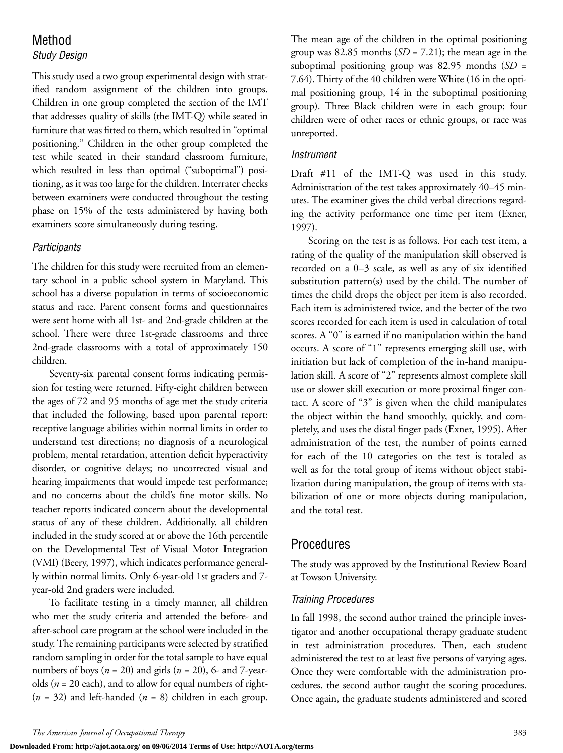# Method

### *Study Design*

This study used a two group experimental design with stratified random assignment of the children into groups. Children in one group completed the section of the IMT that addresses quality of skills (the IMT-Q) while seated in furniture that was fitted to them, which resulted in "optimal positioning." Children in the other group completed the test while seated in their standard classroom furniture, which resulted in less than optimal ("suboptimal") positioning, as it was too large for the children. Interrater checks between examiners were conducted throughout the testing phase on 15% of the tests administered by having both examiners score simultaneously during testing.

#### *Participants*

The children for this study were recruited from an elementary school in a public school system in Maryland. This school has a diverse population in terms of socioeconomic status and race. Parent consent forms and questionnaires were sent home with all 1st- and 2nd-grade children at the school. There were three 1st-grade classrooms and three 2nd-grade classrooms with a total of approximately 150 children.

Seventy-six parental consent forms indicating permission for testing were returned. Fifty-eight children between the ages of 72 and 95 months of age met the study criteria that included the following, based upon parental report: receptive language abilities within normal limits in order to understand test directions; no diagnosis of a neurological problem, mental retardation, attention deficit hyperactivity disorder, or cognitive delays; no uncorrected visual and hearing impairments that would impede test performance; and no concerns about the child's fine motor skills. No teacher reports indicated concern about the developmental status of any of these children. Additionally, all children included in the study scored at or above the 16th percentile on the Developmental Test of Visual Motor Integration (VMI) (Beery, 1997), which indicates performance generally within normal limits. Only 6-year-old 1st graders and 7 year-old 2nd graders were included.

To facilitate testing in a timely manner, all children who met the study criteria and attended the before- and after-school care program at the school were included in the study. The remaining participants were selected by stratified random sampling in order for the total sample to have equal numbers of boys (*n* = 20) and girls (*n* = 20), 6- and 7-yearolds (*n* = 20 each), and to allow for equal numbers of right-  $(n = 32)$  and left-handed  $(n = 8)$  children in each group. The mean age of the children in the optimal positioning group was 82.85 months  $(SD = 7.21)$ ; the mean age in the suboptimal positioning group was 82.95 months (*SD* = 7.64). Thirty of the 40 children were White (16 in the optimal positioning group, 14 in the suboptimal positioning group). Three Black children were in each group; four children were of other races or ethnic groups, or race was unreported.

#### *Instrument*

Draft #11 of the IMT-Q was used in this study. Administration of the test takes approximately 40–45 minutes. The examiner gives the child verbal directions regarding the activity performance one time per item (Exner, 1997).

Scoring on the test is as follows. For each test item, a rating of the quality of the manipulation skill observed is recorded on a 0–3 scale, as well as any of six identified substitution pattern(s) used by the child. The number of times the child drops the object per item is also recorded. Each item is administered twice, and the better of the two scores recorded for each item is used in calculation of total scores. A "0" is earned if no manipulation within the hand occurs. A score of "1" represents emerging skill use, with initiation but lack of completion of the in-hand manipulation skill. A score of "2" represents almost complete skill use or slower skill execution or more proximal finger contact. A score of "3" is given when the child manipulates the object within the hand smoothly, quickly, and completely, and uses the distal finger pads (Exner, 1995). After administration of the test, the number of points earned for each of the 10 categories on the test is totaled as well as for the total group of items without object stabilization during manipulation, the group of items with stabilization of one or more objects during manipulation, and the total test.

# Procedures

The study was approved by the Institutional Review Board at Towson University.

#### *Training Procedures*

In fall 1998, the second author trained the principle investigator and another occupational therapy graduate student in test administration procedures. Then, each student administered the test to at least five persons of varying ages. Once they were comfortable with the administration procedures, the second author taught the scoring procedures. Once again, the graduate students administered and scored

**Downloaded From: http://ajot.aota.org/ on 09/06/2014 Terms of Use: http://AOTA.org/terms**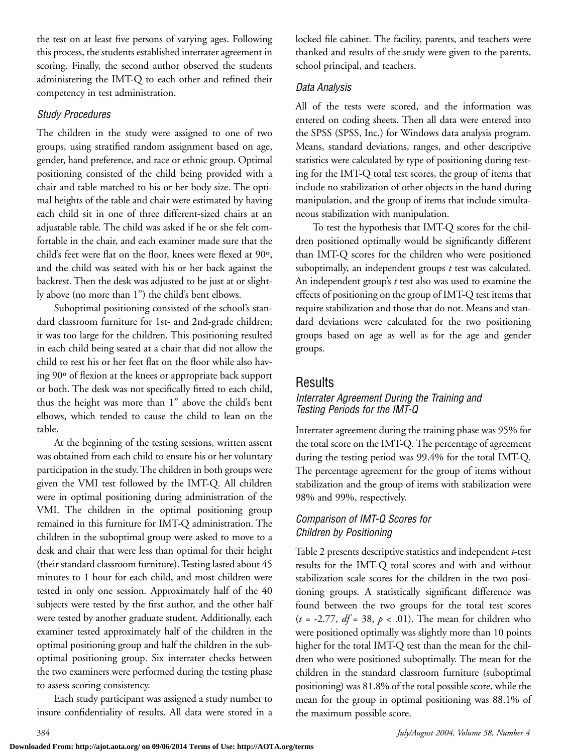the test on at least five persons of varying ages. Following this process, the students established interrater agreement in scoring. Finally, the second author observed the students administering the IMT-Q to each other and refined their competency in test administration.

### *Study Procedures*

The children in the study were assigned to one of two groups, using stratified random assignment based on age, gender, hand preference, and race or ethnic group. Optimal positioning consisted of the child being provided with a chair and table matched to his or her body size. The optimal heights of the table and chair were estimated by having each child sit in one of three different-sized chairs at an adjustable table. The child was asked if he or she felt comfortable in the chair, and each examiner made sure that the child's feet were flat on the floor, knees were flexed at 90º, and the child was seated with his or her back against the backrest. Then the desk was adjusted to be just at or slightly above (no more than 1") the child's bent elbows.

Suboptimal positioning consisted of the school's standard classroom furniture for 1st- and 2nd-grade children; it was too large for the children. This positioning resulted in each child being seated at a chair that did not allow the child to rest his or her feet flat on the floor while also having 90º of flexion at the knees or appropriate back support or both. The desk was not specifically fitted to each child, thus the height was more than 1" above the child's bent elbows, which tended to cause the child to lean on the table.

At the beginning of the testing sessions, written assent was obtained from each child to ensure his or her voluntary participation in the study. The children in both groups were given the VMI test followed by the IMT-Q. All children were in optimal positioning during administration of the VMI. The children in the optimal positioning group remained in this furniture for IMT-Q administration. The children in the suboptimal group were asked to move to a desk and chair that were less than optimal for their height (their standard classroom furniture). Testing lasted about 45 minutes to 1 hour for each child, and most children were tested in only one session. Approximately half of the 40 subjects were tested by the first author, and the other half were tested by another graduate student. Additionally, each examiner tested approximately half of the children in the optimal positioning group and half the children in the suboptimal positioning group. Six interrater checks between the two examiners were performed during the testing phase to assess scoring consistency.

Each study participant was assigned a study number to insure confidentiality of results. All data were stored in a locked file cabinet. The facility, parents, and teachers were thanked and results of the study were given to the parents, school principal, and teachers.

## *Data Analysis*

All of the tests were scored, and the information was entered on coding sheets. Then all data were entered into the SPSS (SPSS, Inc.) for Windows data analysis program. Means, standard deviations, ranges, and other descriptive statistics were calculated by type of positioning during testing for the IMT-Q total test scores, the group of items that include no stabilization of other objects in the hand during manipulation, and the group of items that include simultaneous stabilization with manipulation.

To test the hypothesis that IMT-Q scores for the children positioned optimally would be significantly different than IMT-Q scores for the children who were positioned suboptimally, an independent groups *t* test was calculated. An independent group's *t* test also was used to examine the effects of positioning on the group of IMT-Q test items that require stabilization and those that do not. Means and standard deviations were calculated for the two positioning groups based on age as well as for the age and gender groups.

## Results

#### *Interrater Agreement During the Training and Testing Periods for the IMT-Q*

Interrater agreement during the training phase was 95% for the total score on the IMT-Q. The percentage of agreement during the testing period was 99.4% for the total IMT-Q. The percentage agreement for the group of items without stabilization and the group of items with stabilization were 98% and 99%, respectively.

## *Comparison of IMT-Q Scores for Children by Positioning*

Table 2 presents descriptive statistics and independent *t*-test results for the IMT-Q total scores and with and without stabilization scale scores for the children in the two positioning groups. A statistically significant difference was found between the two groups for the total test scores  $(t = -2.77, df = 38, p < .01)$ . The mean for children who were positioned optimally was slightly more than 10 points higher for the total IMT-Q test than the mean for the children who were positioned suboptimally. The mean for the children in the standard classroom furniture (suboptimal positioning) was 81.8% of the total possible score, while the mean for the group in optimal positioning was 88.1% of the maximum possible score.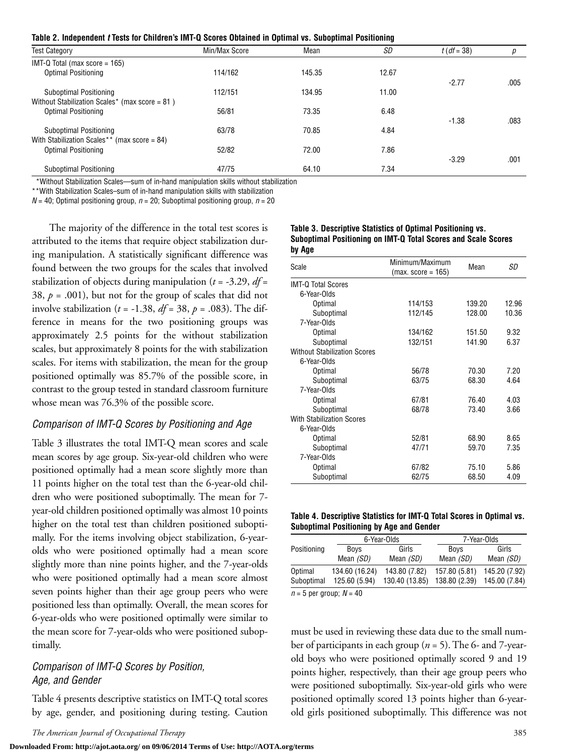**Table 2. Independent** *t* **Tests for Children's IMT-Q Scores Obtained in Optimal vs. Suboptimal Positioning**

| Table L. Mucpenuein I Tests for Unitaren s im i Q Ocores Obtanica in Optimar vs. Ouboptimar i Osttoming |               |        |       |               |      |  |
|---------------------------------------------------------------------------------------------------------|---------------|--------|-------|---------------|------|--|
| <b>Test Category</b>                                                                                    | Min/Max Score | Mean   | SD    | $t (df = 38)$ | р    |  |
| IMT-Q Total (max score = $165$ )                                                                        |               |        |       |               |      |  |
| Optimal Positioning                                                                                     | 114/162       | 145.35 | 12.67 |               |      |  |
| Suboptimal Positioning<br>Without Stabilization Scales* (max score = 81)                                | 112/151       | 134.95 | 11.00 | $-2.77$       | .005 |  |
| Optimal Positioning                                                                                     | 56/81         | 73.35  | 6.48  | $-1.38$       | .083 |  |
| Suboptimal Positioning                                                                                  | 63/78         | 70.85  | 4.84  |               |      |  |
| With Stabilization Scales** (max score = 84)<br>Optimal Positioning                                     | 52/82         | 72.00  | 7.86  | $-3.29$       | .001 |  |
| Suboptimal Positioning                                                                                  | 47/75         | 64.10  | 7.34  |               |      |  |

\*Without Stabilization Scales—sum of in-hand manipulation skills without stabilization

\*\*With Stabilization Scales–sum of in-hand manipulation skills with stabilization

 $N = 40$ ; Optimal positioning group,  $n = 20$ ; Suboptimal positioning group,  $n = 20$ 

The majority of the difference in the total test scores is attributed to the items that require object stabilization during manipulation. A statistically significant difference was found between the two groups for the scales that involved stabilization of objects during manipulation (*t* = -3.29, *df* = 38,  $p = .001$ ), but not for the group of scales that did not involve stabilization ( $t = -1.38$ ,  $df = 38$ ,  $p = .083$ ). The difference in means for the two positioning groups was approximately 2.5 points for the without stabilization scales, but approximately 8 points for the with stabilization scales. For items with stabilization, the mean for the group positioned optimally was 85.7% of the possible score, in contrast to the group tested in standard classroom furniture whose mean was 76.3% of the possible score.

#### *Comparison of IMT-Q Scores by Positioning and Age*

Table 3 illustrates the total IMT-Q mean scores and scale mean scores by age group. Six-year-old children who were positioned optimally had a mean score slightly more than 11 points higher on the total test than the 6-year-old children who were positioned suboptimally. The mean for 7 year-old children positioned optimally was almost 10 points higher on the total test than children positioned suboptimally. For the items involving object stabilization, 6-yearolds who were positioned optimally had a mean score slightly more than nine points higher, and the 7-year-olds who were positioned optimally had a mean score almost seven points higher than their age group peers who were positioned less than optimally. Overall, the mean scores for 6-year-olds who were positioned optimally were similar to the mean score for 7-year-olds who were positioned suboptimally.

#### *Comparison of IMT-Q Scores by Position, Age, and Gender*

Table 4 presents descriptive statistics on IMT-Q total scores by age, gender, and positioning during testing. Caution

#### **Table 3. Descriptive Statistics of Optimal Positioning vs. Suboptimal Positioning on IMT-Q Total Scores and Scale Scores by Age**

| Scale                               | Minimum/Maximum<br>$(max. score = 165)$ | Mean   | SD    |  |
|-------------------------------------|-----------------------------------------|--------|-------|--|
| <b>IMT-Q Total Scores</b>           |                                         |        |       |  |
| 6-Year-Olds                         |                                         |        |       |  |
| <b>Optimal</b>                      | 114/153                                 | 139.20 | 12.96 |  |
| Suboptimal                          | 112/145                                 | 128.00 | 10.36 |  |
| 7-Year-Olds                         |                                         |        |       |  |
| Optimal                             | 134/162                                 | 151.50 | 9.32  |  |
| Suboptimal                          | 132/151                                 | 141.90 | 6.37  |  |
| <b>Without Stabilization Scores</b> |                                         |        |       |  |
| 6-Year-Olds                         |                                         |        |       |  |
| Optimal                             | 56/78                                   | 70.30  | 7.20  |  |
| Suboptimal                          | 63/75                                   | 68.30  | 4.64  |  |
| 7-Year-Olds                         |                                         |        |       |  |
| Optimal                             | 67/81                                   | 76.40  | 4.03  |  |
| Suboptimal                          | 68/78                                   | 73.40  | 3.66  |  |
| <b>With Stabilization Scores</b>    |                                         |        |       |  |
| 6-Year-Olds                         |                                         |        |       |  |
| <b>Optimal</b>                      | 52/81                                   | 68.90  | 8.65  |  |
| Suboptimal                          | 47/71                                   | 59.70  | 7.35  |  |
| 7-Year-Olds                         |                                         |        |       |  |
| Optimal                             | 67/82                                   | 75.10  | 5.86  |  |
| Suboptimal                          | 62/75                                   | 68.50  | 4.09  |  |

| Table 4. Descriptive Statistics for IMT-Q Total Scores in Optimal vs. |  |  |  |
|-----------------------------------------------------------------------|--|--|--|
| <b>Suboptimal Positioning by Age and Gender</b>                       |  |  |  |

|                             |                | 6-Year-Olds    |               | 7-Year-Olds   |  |  |
|-----------------------------|----------------|----------------|---------------|---------------|--|--|
| Positioning                 | <b>Boys</b>    | Girls          | <b>Boys</b>   | Girls         |  |  |
|                             | Mean (SD)      | Mean (SD)      | Mean (SD)     | Mean (SD)     |  |  |
| Optimal                     | 134.60 (16.24) | 143.80 (7.82)  | 157.80 (5.81) | 145.20 (7.92) |  |  |
| Suboptimal                  | 125.60 (5.94)  | 130.40 (13.85) | 138.80 (2.39) | 145.00 (7.84) |  |  |
| $n = 5$ per group; $N = 40$ |                |                |               |               |  |  |

must be used in reviewing these data due to the small number of participants in each group (*n* = 5). The 6- and 7-yearold boys who were positioned optimally scored 9 and 19 points higher, respectively, than their age group peers who were positioned suboptimally. Six-year-old girls who were positioned optimally scored 13 points higher than 6-yearold girls positioned suboptimally. This difference was not

**Downloaded From: http://ajot.aota.org/ on 09/06/2014 Terms of Use: http://AOTA.org/terms**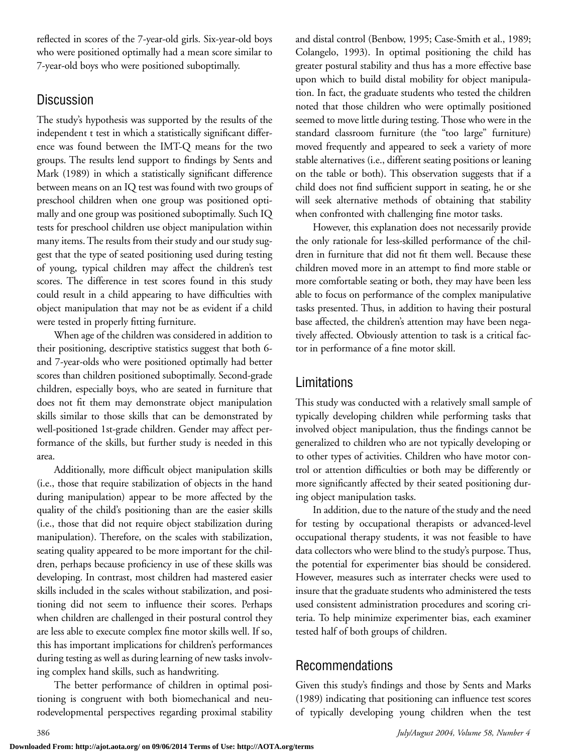reflected in scores of the 7-year-old girls. Six-year-old boys who were positioned optimally had a mean score similar to 7-year-old boys who were positioned suboptimally.

# Discussion

The study's hypothesis was supported by the results of the independent t test in which a statistically significant difference was found between the IMT-Q means for the two groups. The results lend support to findings by Sents and Mark (1989) in which a statistically significant difference between means on an IQ test was found with two groups of preschool children when one group was positioned optimally and one group was positioned suboptimally. Such IQ tests for preschool children use object manipulation within many items. The results from their study and our study suggest that the type of seated positioning used during testing of young, typical children may affect the children's test scores. The difference in test scores found in this study could result in a child appearing to have difficulties with object manipulation that may not be as evident if a child were tested in properly fitting furniture.

When age of the children was considered in addition to their positioning, descriptive statistics suggest that both 6 and 7-year-olds who were positioned optimally had better scores than children positioned suboptimally. Second-grade children, especially boys, who are seated in furniture that does not fit them may demonstrate object manipulation skills similar to those skills that can be demonstrated by well-positioned 1st-grade children. Gender may affect performance of the skills, but further study is needed in this area.

Additionally, more difficult object manipulation skills (i.e., those that require stabilization of objects in the hand during manipulation) appear to be more affected by the quality of the child's positioning than are the easier skills (i.e., those that did not require object stabilization during manipulation). Therefore, on the scales with stabilization, seating quality appeared to be more important for the children, perhaps because proficiency in use of these skills was developing. In contrast, most children had mastered easier skills included in the scales without stabilization, and positioning did not seem to influence their scores. Perhaps when children are challenged in their postural control they are less able to execute complex fine motor skills well. If so, this has important implications for children's performances during testing as well as during learning of new tasks involving complex hand skills, such as handwriting.

The better performance of children in optimal positioning is congruent with both biomechanical and neurodevelopmental perspectives regarding proximal stability and distal control (Benbow, 1995; Case-Smith et al., 1989; Colangelo, 1993). In optimal positioning the child has greater postural stability and thus has a more effective base upon which to build distal mobility for object manipulation. In fact, the graduate students who tested the children noted that those children who were optimally positioned seemed to move little during testing. Those who were in the standard classroom furniture (the "too large" furniture) moved frequently and appeared to seek a variety of more stable alternatives (i.e., different seating positions or leaning on the table or both). This observation suggests that if a child does not find sufficient support in seating, he or she will seek alternative methods of obtaining that stability when confronted with challenging fine motor tasks.

However, this explanation does not necessarily provide the only rationale for less-skilled performance of the children in furniture that did not fit them well. Because these children moved more in an attempt to find more stable or more comfortable seating or both, they may have been less able to focus on performance of the complex manipulative tasks presented. Thus, in addition to having their postural base affected, the children's attention may have been negatively affected. Obviously attention to task is a critical factor in performance of a fine motor skill.

# Limitations

This study was conducted with a relatively small sample of typically developing children while performing tasks that involved object manipulation, thus the findings cannot be generalized to children who are not typically developing or to other types of activities. Children who have motor control or attention difficulties or both may be differently or more significantly affected by their seated positioning during object manipulation tasks.

In addition, due to the nature of the study and the need for testing by occupational therapists or advanced-level occupational therapy students, it was not feasible to have data collectors who were blind to the study's purpose. Thus, the potential for experimenter bias should be considered. However, measures such as interrater checks were used to insure that the graduate students who administered the tests used consistent administration procedures and scoring criteria. To help minimize experimenter bias, each examiner tested half of both groups of children.

# Recommendations

Given this study's findings and those by Sents and Marks (1989) indicating that positioning can influence test scores of typically developing young children when the test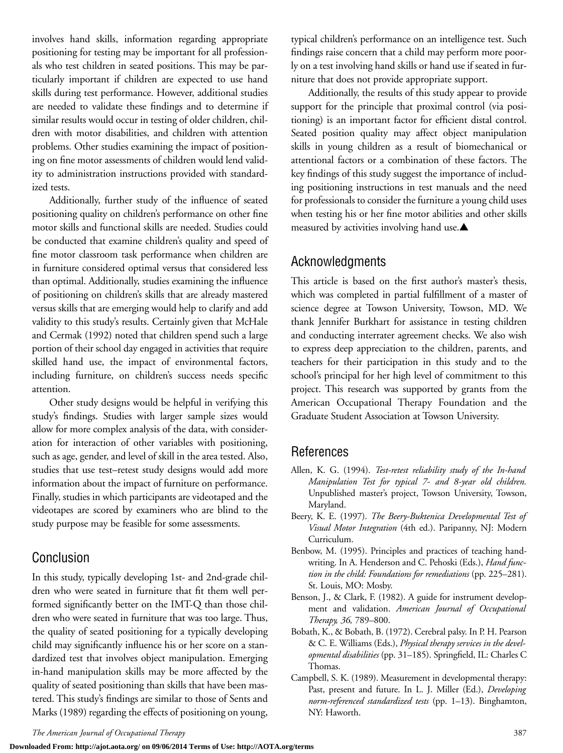involves hand skills, information regarding appropriate positioning for testing may be important for all professionals who test children in seated positions. This may be particularly important if children are expected to use hand skills during test performance. However, additional studies are needed to validate these findings and to determine if similar results would occur in testing of older children, children with motor disabilities, and children with attention problems. Other studies examining the impact of positioning on fine motor assessments of children would lend validity to administration instructions provided with standardized tests.

Additionally, further study of the influence of seated positioning quality on children's performance on other fine motor skills and functional skills are needed. Studies could be conducted that examine children's quality and speed of fine motor classroom task performance when children are in furniture considered optimal versus that considered less than optimal. Additionally, studies examining the influence of positioning on children's skills that are already mastered versus skills that are emerging would help to clarify and add validity to this study's results. Certainly given that McHale and Cermak (1992) noted that children spend such a large portion of their school day engaged in activities that require skilled hand use, the impact of environmental factors, including furniture, on children's success needs specific attention.

Other study designs would be helpful in verifying this study's findings. Studies with larger sample sizes would allow for more complex analysis of the data, with consideration for interaction of other variables with positioning, such as age, gender, and level of skill in the area tested. Also, studies that use test–retest study designs would add more information about the impact of furniture on performance. Finally, studies in which participants are videotaped and the videotapes are scored by examiners who are blind to the study purpose may be feasible for some assessments.

# Conclusion

In this study, typically developing 1st- and 2nd-grade children who were seated in furniture that fit them well performed significantly better on the IMT-Q than those children who were seated in furniture that was too large. Thus, the quality of seated positioning for a typically developing child may significantly influence his or her score on a standardized test that involves object manipulation. Emerging in-hand manipulation skills may be more affected by the quality of seated positioning than skills that have been mastered. This study's findings are similar to those of Sents and Marks (1989) regarding the effects of positioning on young, typical children's performance on an intelligence test. Such findings raise concern that a child may perform more poorly on a test involving hand skills or hand use if seated in furniture that does not provide appropriate support.

Additionally, the results of this study appear to provide support for the principle that proximal control (via positioning) is an important factor for efficient distal control. Seated position quality may affect object manipulation skills in young children as a result of biomechanical or attentional factors or a combination of these factors. The key findings of this study suggest the importance of including positioning instructions in test manuals and the need for professionals to consider the furniture a young child uses when testing his or her fine motor abilities and other skills measured by activities involving hand use.▲

# Acknowledgments

This article is based on the first author's master's thesis, which was completed in partial fulfillment of a master of science degree at Towson University, Towson, MD. We thank Jennifer Burkhart for assistance in testing children and conducting interrater agreement checks. We also wish to express deep appreciation to the children, parents, and teachers for their participation in this study and to the school's principal for her high level of commitment to this project. This research was supported by grants from the American Occupational Therapy Foundation and the Graduate Student Association at Towson University.

# References

- Allen, K. G. (1994). *Test-retest reliability study of the In-hand Manipulation Test for typical 7- and 8-year old children.* Unpublished master's project, Towson University, Towson, Maryland.
- Beery, K. E. (1997). *The Beery-Buktenica Developmental Test of Visual Motor Integration* (4th ed.). Paripanny, NJ: Modern Curriculum.
- Benbow, M. (1995). Principles and practices of teaching handwriting. In A. Henderson and C. Pehoski (Eds.), *Hand function in the child: Foundations for remediations* (pp. 225–281). St. Louis, MO: Mosby.
- Benson, J., & Clark, F. (1982). A guide for instrument development and validation. *American Journal of Occupational Therapy, 36,* 789–800.
- Bobath, K., & Bobath, B. (1972). Cerebral palsy. In P. H. Pearson & C. E. Williams (Eds.), *Physical therapy services in the developmental disabilities* (pp. 31–185). Springfield, IL: Charles C Thomas.
- Campbell, S. K. (1989). Measurement in developmental therapy: Past, present and future. In L. J. Miller (Ed.), *Developing norm-referenced standardized tests* (pp. 1–13). Binghamton, NY: Haworth.